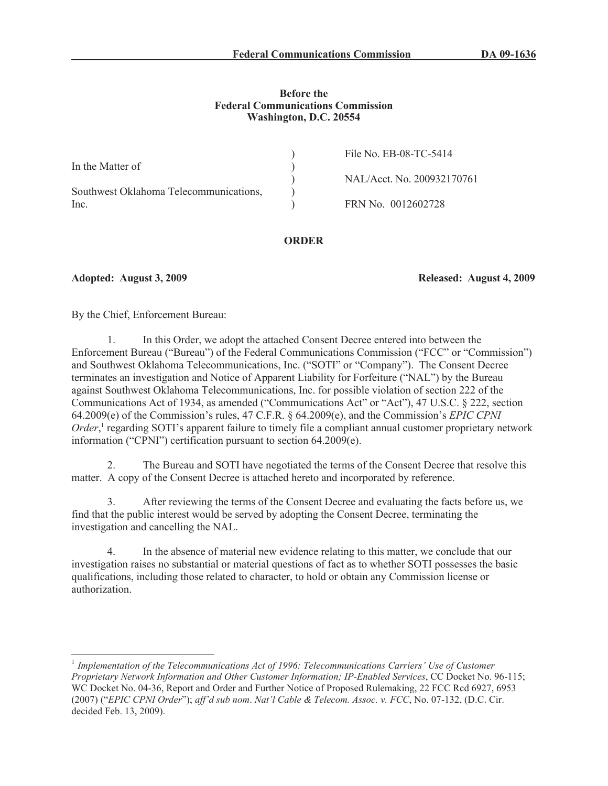## **Before the Federal Communications Commission Washington, D.C. 20554**

|                                        | File No. EB-08-TC-5414     |
|----------------------------------------|----------------------------|
| In the Matter of                       |                            |
|                                        | NAL/Acct. No. 200932170761 |
| Southwest Oklahoma Telecommunications, |                            |
| Inc.                                   | FRN No. 0012602728         |

# **ORDER**

**Adopted: August 3, 2009 Released: August 4, 2009**

By the Chief, Enforcement Bureau:

1. In this Order, we adopt the attached Consent Decree entered into between the Enforcement Bureau ("Bureau") of the Federal Communications Commission ("FCC" or "Commission") and Southwest Oklahoma Telecommunications, Inc. ("SOTI" or "Company"). The Consent Decree terminates an investigation and Notice of Apparent Liability for Forfeiture ("NAL") by the Bureau against Southwest Oklahoma Telecommunications, Inc. for possible violation of section 222 of the Communications Act of 1934, as amended ("Communications Act" or "Act"), 47 U.S.C. § 222, section 64.2009(e) of the Commission's rules, 47 C.F.R. § 64.2009(e), and the Commission's *EPIC CPNI*  Order,<sup>1</sup> regarding SOTI's apparent failure to timely file a compliant annual customer proprietary network information ("CPNI") certification pursuant to section 64.2009(e).

2. The Bureau and SOTI have negotiated the terms of the Consent Decree that resolve this matter. A copy of the Consent Decree is attached hereto and incorporated by reference.

3. After reviewing the terms of the Consent Decree and evaluating the facts before us, we find that the public interest would be served by adopting the Consent Decree, terminating the investigation and cancelling the NAL.

4. In the absence of material new evidence relating to this matter, we conclude that our investigation raises no substantial or material questions of fact as to whether SOTI possesses the basic qualifications, including those related to character, to hold or obtain any Commission license or authorization.

<sup>&</sup>lt;sup>1</sup> Implementation of the Telecommunications Act of 1996: Telecommunications Carriers' Use of Customer *Proprietary Network Information and Other Customer Information; IP-Enabled Services*, CC Docket No. 96-115; WC Docket No. 04-36, Report and Order and Further Notice of Proposed Rulemaking, 22 FCC Rcd 6927, 6953 (2007) ("*EPIC CPNI Order*"); *aff'd sub nom*. *Nat'l Cable & Telecom. Assoc. v. FCC*, No. 07-132, (D.C. Cir. decided Feb. 13, 2009).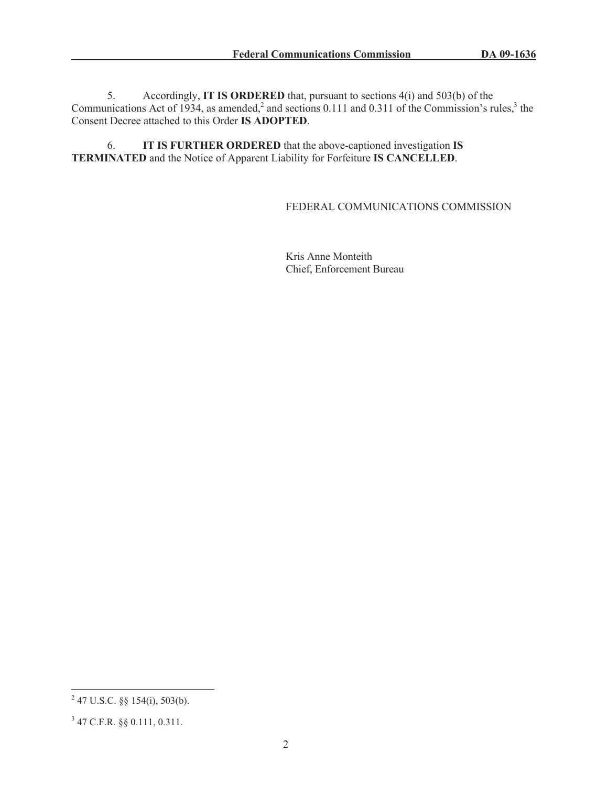5. Accordingly, **IT IS ORDERED** that, pursuant to sections 4(i) and 503(b) of the Communications Act of 1934, as amended,<sup>2</sup> and sections 0.111 and 0.311 of the Commission's rules,<sup>3</sup> the Consent Decree attached to this Order **IS ADOPTED**.

6. **IT IS FURTHER ORDERED** that the above-captioned investigation **IS TERMINATED** and the Notice of Apparent Liability for Forfeiture **IS CANCELLED**.

## FEDERAL COMMUNICATIONS COMMISSION

Kris Anne Monteith Chief, Enforcement Bureau

 $^{2}$  47 U.S.C. §§ 154(i), 503(b).

<sup>3</sup> 47 C.F.R. §§ 0.111, 0.311.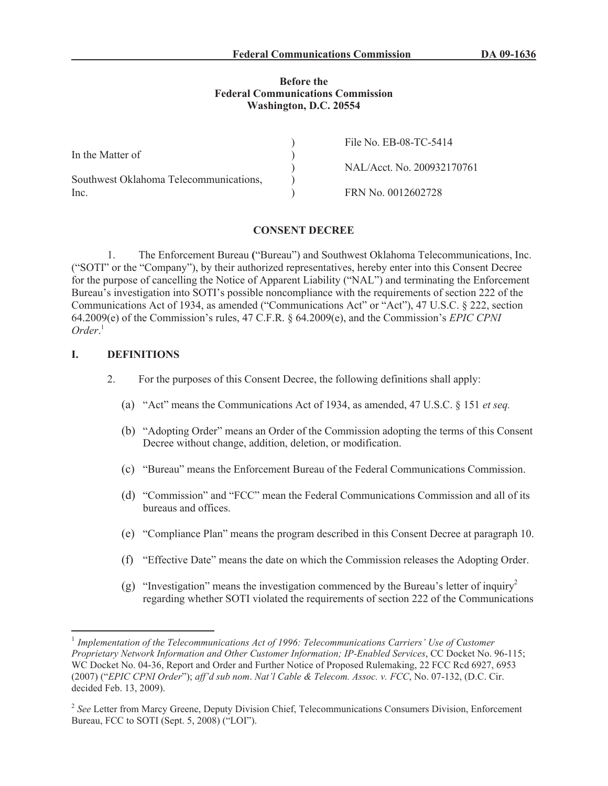### **Before the Federal Communications Commission Washington, D.C. 20554**

|                                        | File No. EB-08-TC-5414     |
|----------------------------------------|----------------------------|
| In the Matter of                       |                            |
|                                        | NAL/Acct. No. 200932170761 |
| Southwest Oklahoma Telecommunications, |                            |
| Inc.                                   | FRN No. 0012602728         |

#### **CONSENT DECREE**

1. The Enforcement Bureau **(**"Bureau") and Southwest Oklahoma Telecommunications, Inc. ("SOTI" or the "Company"), by their authorized representatives, hereby enter into this Consent Decree for the purpose of cancelling the Notice of Apparent Liability ("NAL") and terminating the Enforcement Bureau's investigation into SOTI's possible noncompliance with the requirements of section 222 of the Communications Act of 1934, as amended ("Communications Act" or "Act"), 47 U.S.C. § 222, section 64.2009(e) of the Commission's rules, 47 C.F.R. § 64.2009(e), and the Commission's *EPIC CPNI Order*. 1

### **I. DEFINITIONS**

- 2. For the purposes of this Consent Decree, the following definitions shall apply:
	- (a) "Act" means the Communications Act of 1934, as amended, 47 U.S.C. § 151 *et seq.*
	- (b) "Adopting Order" means an Order of the Commission adopting the terms of this Consent Decree without change, addition, deletion, or modification.
	- (c) "Bureau" means the Enforcement Bureau of the Federal Communications Commission.
	- (d) "Commission" and "FCC" mean the Federal Communications Commission and all of its bureaus and offices.
	- (e) "Compliance Plan" means the program described in this Consent Decree at paragraph 10.
	- (f) "Effective Date" means the date on which the Commission releases the Adopting Order.
	- (g) "Investigation" means the investigation commenced by the Bureau's letter of inquiry<sup>2</sup> regarding whether SOTI violated the requirements of section 222 of the Communications

<sup>&</sup>lt;sup>1</sup> Implementation of the Telecommunications Act of 1996: Telecommunications Carriers' Use of Customer *Proprietary Network Information and Other Customer Information; IP-Enabled Services*, CC Docket No. 96-115; WC Docket No. 04-36, Report and Order and Further Notice of Proposed Rulemaking, 22 FCC Rcd 6927, 6953 (2007) ("*EPIC CPNI Order*"); *aff'd sub nom*. *Nat'l Cable & Telecom. Assoc. v. FCC*, No. 07-132, (D.C. Cir. decided Feb. 13, 2009).

<sup>&</sup>lt;sup>2</sup> See Letter from Marcy Greene, Deputy Division Chief, Telecommunications Consumers Division, Enforcement Bureau, FCC to SOTI (Sept. 5, 2008) ("LOI").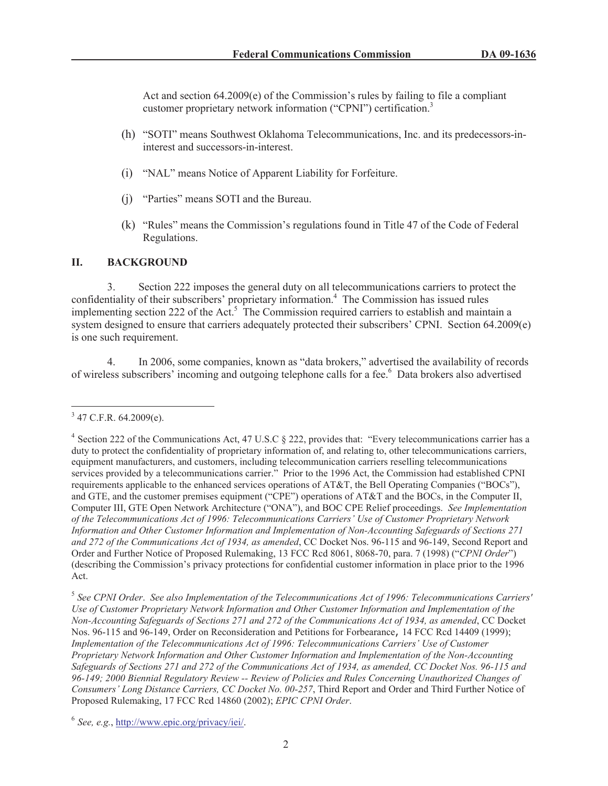Act and section 64.2009(e) of the Commission's rules by failing to file a compliant customer proprietary network information ("CPNI") certification.<sup>3</sup>

- (h) "SOTI" means Southwest Oklahoma Telecommunications, Inc. and its predecessors-ininterest and successors-in-interest.
- (i) "NAL" means Notice of Apparent Liability for Forfeiture.
- (j) "Parties" means SOTI and the Bureau.
- (k) "Rules" means the Commission's regulations found in Title 47 of the Code of Federal Regulations.

# **II. BACKGROUND**

3. Section 222 imposes the general duty on all telecommunications carriers to protect the confidentiality of their subscribers' proprietary information.<sup>4</sup> The Commission has issued rules implementing section 222 of the Act.<sup>5</sup> The Commission required carriers to establish and maintain a system designed to ensure that carriers adequately protected their subscribers' CPNI. Section 64.2009(e) is one such requirement.

4. In 2006, some companies, known as "data brokers," advertised the availability of records of wireless subscribers' incoming and outgoing telephone calls for a fee.<sup>6</sup> Data brokers also advertised

 $3$  47 C.F.R. 64.2009(e).

<sup>&</sup>lt;sup>4</sup> Section 222 of the Communications Act, 47 U.S.C § 222, provides that: "Every telecommunications carrier has a duty to protect the confidentiality of proprietary information of, and relating to, other telecommunications carriers, equipment manufacturers, and customers, including telecommunication carriers reselling telecommunications services provided by a telecommunications carrier." Prior to the 1996 Act, the Commission had established CPNI requirements applicable to the enhanced services operations of AT&T, the Bell Operating Companies ("BOCs"), and GTE, and the customer premises equipment ("CPE") operations of AT&T and the BOCs, in the Computer II, Computer III, GTE Open Network Architecture ("ONA"), and BOC CPE Relief proceedings. *See Implementation of the Telecommunications Act of 1996: Telecommunications Carriers' Use of Customer Proprietary Network Information and Other Customer Information and Implementation of Non-Accounting Safeguards of Sections 271 and 272 of the Communications Act of 1934, as amended*, CC Docket Nos. 96-115 and 96-149, Second Report and Order and Further Notice of Proposed Rulemaking, 13 FCC Rcd 8061, 8068-70, para. 7 (1998) ("*CPNI Order*") (describing the Commission's privacy protections for confidential customer information in place prior to the 1996 Act.

<sup>5</sup> *See CPNI Order*. *See also Implementation of the Telecommunications Act of 1996: Telecommunications Carriers' Use of Customer Proprietary Network Information and Other Customer Information and Implementation of the Non-Accounting Safeguards of Sections 271 and 272 of the Communications Act of 1934, as amended*, CC Docket Nos. 96-115 and 96-149, Order on Reconsideration and Petitions for Forbearance, 14 FCC Rcd 14409 (1999); *Implementation of the Telecommunications Act of 1996: Telecommunications Carriers' Use of Customer Proprietary Network Information and Other Customer Information and Implementation of the Non-Accounting Safeguards of Sections 271 and 272 of the Communications Act of 1934, as amended, CC Docket Nos. 96-115 and 96-149; 2000 Biennial Regulatory Review -- Review of Policies and Rules Concerning Unauthorized Changes of Consumers' Long Distance Carriers, CC Docket No. 00-257*, Third Report and Order and Third Further Notice of Proposed Rulemaking, 17 FCC Rcd 14860 (2002); *EPIC CPNI Order*.

<sup>6</sup> *See, e.g.*, http://www.epic.org/privacy/iei/.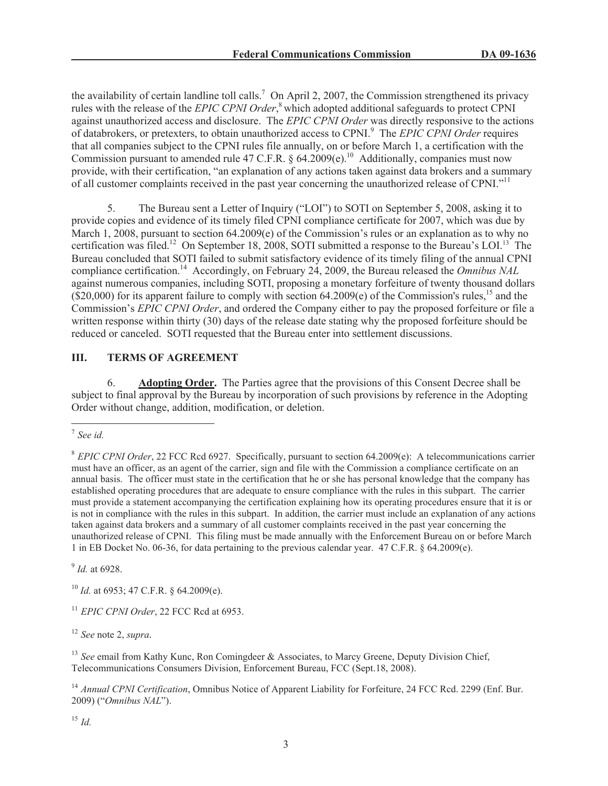the availability of certain landline toll calls.<sup>7</sup> On April 2, 2007, the Commission strengthened its privacy rules with the release of the *EPIC CPNI Order*, <sup>8</sup> which adopted additional safeguards to protect CPNI against unauthorized access and disclosure. The *EPIC CPNI Order* was directly responsive to the actions of databrokers, or pretexters, to obtain unauthorized access to CPNI.<sup>9</sup> The *EPIC CPNI Order* requires that all companies subject to the CPNI rules file annually, on or before March 1, a certification with the Commission pursuant to amended rule 47 C.F.R. § 64.2009(e).<sup>10</sup> Additionally, companies must now provide, with their certification, "an explanation of any actions taken against data brokers and a summary of all customer complaints received in the past year concerning the unauthorized release of CPNI."<sup>11</sup>

5. The Bureau sent a Letter of Inquiry ("LOI") to SOTI on September 5, 2008, asking it to provide copies and evidence of its timely filed CPNI compliance certificate for 2007, which was due by March 1, 2008, pursuant to section 64.2009(e) of the Commission's rules or an explanation as to why no certification was filed.<sup>12</sup> On September 18, 2008, SOTI submitted a response to the Bureau's LOI.<sup>13</sup> The Bureau concluded that SOTI failed to submit satisfactory evidence of its timely filing of the annual CPNI compliance certification.<sup>14</sup> Accordingly, on February 24, 2009, the Bureau released the *Omnibus NAL* against numerous companies, including SOTI, proposing a monetary forfeiture of twenty thousand dollars  $(S20,000)$  for its apparent failure to comply with section 64.2009(e) of the Commission's rules,<sup>15</sup> and the Commission's *EPIC CPNI Order*, and ordered the Company either to pay the proposed forfeiture or file a written response within thirty (30) days of the release date stating why the proposed forfeiture should be reduced or canceled. SOTI requested that the Bureau enter into settlement discussions.

# **III. TERMS OF AGREEMENT**

6. **Adopting Order.** The Parties agree that the provisions of this Consent Decree shall be subject to final approval by the Bureau by incorporation of such provisions by reference in the Adopting Order without change, addition, modification, or deletion.

9 *Id.* at 6928.

<sup>10</sup> *Id.* at 6953; 47 C.F.R. § 64.2009(e).

<sup>11</sup> *EPIC CPNI Order*, 22 FCC Rcd at 6953.

<sup>12</sup> *See* note 2, *supra.*

<sup>13</sup> See email from Kathy Kunc, Ron Comingdeer & Associates, to Marcy Greene, Deputy Division Chief, Telecommunications Consumers Division, Enforcement Bureau, FCC (Sept.18, 2008).

<sup>14</sup> Annual CPNI Certification, Omnibus Notice of Apparent Liability for Forfeiture, 24 FCC Rcd. 2299 (Enf. Bur. 2009) ("*Omnibus NAL*").

<sup>15</sup> *Id.*

<sup>7</sup> *See id.*

<sup>8</sup> *EPIC CPNI Order*, 22 FCC Rcd 6927. Specifically, pursuant to section 64.2009(e): A telecommunications carrier must have an officer, as an agent of the carrier, sign and file with the Commission a compliance certificate on an annual basis. The officer must state in the certification that he or she has personal knowledge that the company has established operating procedures that are adequate to ensure compliance with the rules in this subpart. The carrier must provide a statement accompanying the certification explaining how its operating procedures ensure that it is or is not in compliance with the rules in this subpart. In addition, the carrier must include an explanation of any actions taken against data brokers and a summary of all customer complaints received in the past year concerning the unauthorized release of CPNI. This filing must be made annually with the Enforcement Bureau on or before March 1 in EB Docket No. 06-36, for data pertaining to the previous calendar year. 47 C.F.R. § 64.2009(e).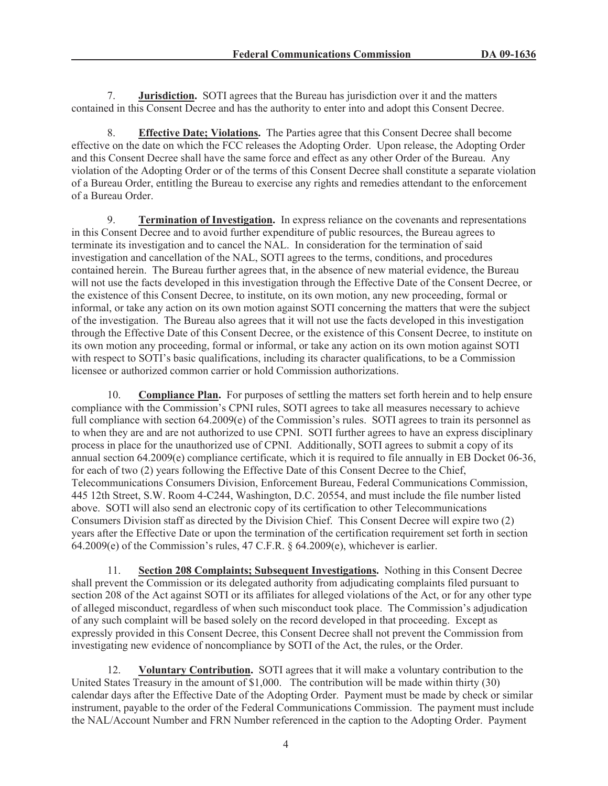7. **Jurisdiction.** SOTI agrees that the Bureau has jurisdiction over it and the matters contained in this Consent Decree and has the authority to enter into and adopt this Consent Decree.

8. **Effective Date; Violations.** The Parties agree that this Consent Decree shall become effective on the date on which the FCC releases the Adopting Order. Upon release, the Adopting Order and this Consent Decree shall have the same force and effect as any other Order of the Bureau. Any violation of the Adopting Order or of the terms of this Consent Decree shall constitute a separate violation of a Bureau Order, entitling the Bureau to exercise any rights and remedies attendant to the enforcement of a Bureau Order.

9. **Termination of Investigation.** In express reliance on the covenants and representations in this Consent Decree and to avoid further expenditure of public resources, the Bureau agrees to terminate its investigation and to cancel the NAL. In consideration for the termination of said investigation and cancellation of the NAL, SOTI agrees to the terms, conditions, and procedures contained herein. The Bureau further agrees that, in the absence of new material evidence, the Bureau will not use the facts developed in this investigation through the Effective Date of the Consent Decree, or the existence of this Consent Decree, to institute, on its own motion, any new proceeding, formal or informal, or take any action on its own motion against SOTI concerning the matters that were the subject of the investigation. The Bureau also agrees that it will not use the facts developed in this investigation through the Effective Date of this Consent Decree, or the existence of this Consent Decree, to institute on its own motion any proceeding, formal or informal, or take any action on its own motion against SOTI with respect to SOTI's basic qualifications, including its character qualifications, to be a Commission licensee or authorized common carrier or hold Commission authorizations.

10. **Compliance Plan.** For purposes of settling the matters set forth herein and to help ensure compliance with the Commission's CPNI rules, SOTI agrees to take all measures necessary to achieve full compliance with section 64.2009(e) of the Commission's rules. SOTI agrees to train its personnel as to when they are and are not authorized to use CPNI. SOTI further agrees to have an express disciplinary process in place for the unauthorized use of CPNI. Additionally, SOTI agrees to submit a copy of its annual section 64.2009(e) compliance certificate, which it is required to file annually in EB Docket 06-36, for each of two (2) years following the Effective Date of this Consent Decree to the Chief, Telecommunications Consumers Division, Enforcement Bureau, Federal Communications Commission, 445 12th Street, S.W. Room 4-C244, Washington, D.C. 20554, and must include the file number listed above. SOTI will also send an electronic copy of its certification to other Telecommunications Consumers Division staff as directed by the Division Chief. This Consent Decree will expire two (2) years after the Effective Date or upon the termination of the certification requirement set forth in section 64.2009(e) of the Commission's rules, 47 C.F.R. § 64.2009(e), whichever is earlier.

11. **Section 208 Complaints; Subsequent Investigations.** Nothing in this Consent Decree shall prevent the Commission or its delegated authority from adjudicating complaints filed pursuant to section 208 of the Act against SOTI or its affiliates for alleged violations of the Act, or for any other type of alleged misconduct, regardless of when such misconduct took place. The Commission's adjudication of any such complaint will be based solely on the record developed in that proceeding. Except as expressly provided in this Consent Decree, this Consent Decree shall not prevent the Commission from investigating new evidence of noncompliance by SOTI of the Act, the rules, or the Order.

12. **Voluntary Contribution.** SOTI agrees that it will make a voluntary contribution to the United States Treasury in the amount of \$1,000. The contribution will be made within thirty (30) calendar days after the Effective Date of the Adopting Order. Payment must be made by check or similar instrument, payable to the order of the Federal Communications Commission. The payment must include the NAL/Account Number and FRN Number referenced in the caption to the Adopting Order. Payment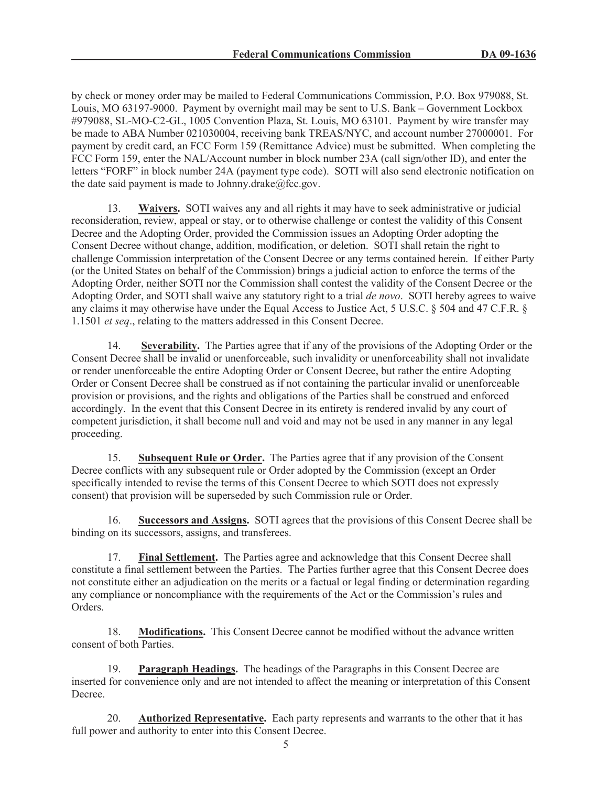by check or money order may be mailed to Federal Communications Commission, P.O. Box 979088, St. Louis, MO 63197-9000. Payment by overnight mail may be sent to U.S. Bank – Government Lockbox #979088, SL-MO-C2-GL, 1005 Convention Plaza, St. Louis, MO 63101. Payment by wire transfer may be made to ABA Number 021030004, receiving bank TREAS/NYC, and account number 27000001. For payment by credit card, an FCC Form 159 (Remittance Advice) must be submitted. When completing the FCC Form 159, enter the NAL/Account number in block number 23A (call sign/other ID), and enter the letters "FORF" in block number 24A (payment type code). SOTI will also send electronic notification on the date said payment is made to Johnny.drake $@$ fcc.gov.

13. **Waivers.** SOTI waives any and all rights it may have to seek administrative or judicial reconsideration, review, appeal or stay, or to otherwise challenge or contest the validity of this Consent Decree and the Adopting Order, provided the Commission issues an Adopting Order adopting the Consent Decree without change, addition, modification, or deletion. SOTI shall retain the right to challenge Commission interpretation of the Consent Decree or any terms contained herein. If either Party (or the United States on behalf of the Commission) brings a judicial action to enforce the terms of the Adopting Order, neither SOTI nor the Commission shall contest the validity of the Consent Decree or the Adopting Order, and SOTI shall waive any statutory right to a trial *de novo*. SOTI hereby agrees to waive any claims it may otherwise have under the Equal Access to Justice Act, 5 U.S.C. § 504 and 47 C.F.R. § 1.1501 *et seq*., relating to the matters addressed in this Consent Decree.

14. **Severability.** The Parties agree that if any of the provisions of the Adopting Order or the Consent Decree shall be invalid or unenforceable, such invalidity or unenforceability shall not invalidate or render unenforceable the entire Adopting Order or Consent Decree, but rather the entire Adopting Order or Consent Decree shall be construed as if not containing the particular invalid or unenforceable provision or provisions, and the rights and obligations of the Parties shall be construed and enforced accordingly. In the event that this Consent Decree in its entirety is rendered invalid by any court of competent jurisdiction, it shall become null and void and may not be used in any manner in any legal proceeding.

15. **Subsequent Rule or Order.** The Parties agree that if any provision of the Consent Decree conflicts with any subsequent rule or Order adopted by the Commission (except an Order specifically intended to revise the terms of this Consent Decree to which SOTI does not expressly consent) that provision will be superseded by such Commission rule or Order.

16. **Successors and Assigns.** SOTI agrees that the provisions of this Consent Decree shall be binding on its successors, assigns, and transferees.

17. **Final Settlement.** The Parties agree and acknowledge that this Consent Decree shall constitute a final settlement between the Parties. The Parties further agree that this Consent Decree does not constitute either an adjudication on the merits or a factual or legal finding or determination regarding any compliance or noncompliance with the requirements of the Act or the Commission's rules and Orders.

18. **Modifications.** This Consent Decree cannot be modified without the advance written consent of both Parties.

19. **Paragraph Headings.** The headings of the Paragraphs in this Consent Decree are inserted for convenience only and are not intended to affect the meaning or interpretation of this Consent Decree.

20. **Authorized Representative.** Each party represents and warrants to the other that it has full power and authority to enter into this Consent Decree.